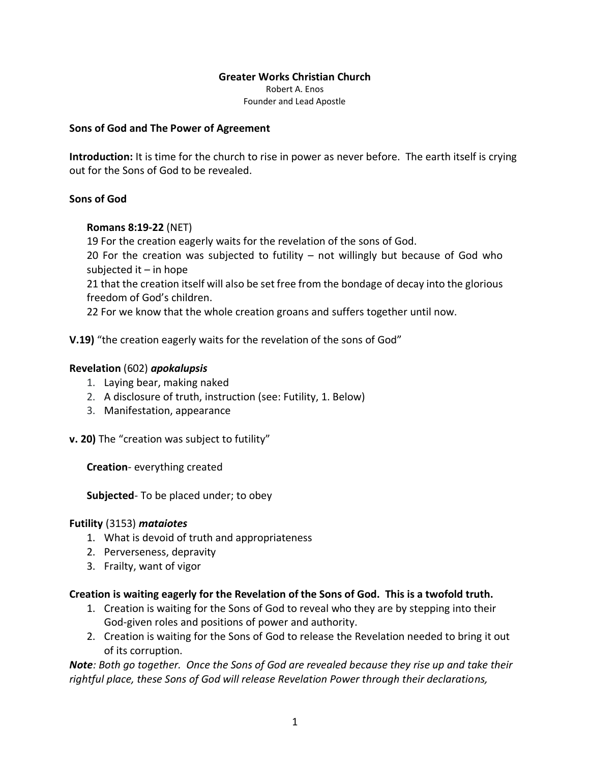## **Greater Works Christian Church**

Robert A. Enos Founder and Lead Apostle

#### **Sons of God and The Power of Agreement**

**Introduction:** It is time for the church to rise in power as never before. The earth itself is crying out for the Sons of God to be revealed.

## **Sons of God**

#### **Romans 8:19-22** (NET)

19 For the creation eagerly waits for the revelation of the sons of God.

20 For the creation was subjected to futility – not willingly but because of God who subjected it  $-$  in hope

21 that the creation itself will also be set free from the bondage of decay into the glorious freedom of God's children.

22 For we know that the whole creation groans and suffers together until now.

**V.19)** "the creation eagerly waits for the revelation of the sons of God"

#### **Revelation** (602) *apokalupsis*

- 1. Laying bear, making naked
- 2. A disclosure of truth, instruction (see: Futility, 1. Below)
- 3. Manifestation, appearance

**v. 20)** The "creation was subject to futility"

**Creation**- everything created

**Subjected**- To be placed under; to obey

## **Futility** (3153) *mataiotes*

- 1. What is devoid of truth and appropriateness
- 2. Perverseness, depravity
- 3. Frailty, want of vigor

## **Creation is waiting eagerly for the Revelation of the Sons of God. This is a twofold truth.**

- 1. Creation is waiting for the Sons of God to reveal who they are by stepping into their God-given roles and positions of power and authority.
- 2. Creation is waiting for the Sons of God to release the Revelation needed to bring it out of its corruption.

*Note: Both go together. Once the Sons of God are revealed because they rise up and take their rightful place, these Sons of God will release Revelation Power through their declarations,*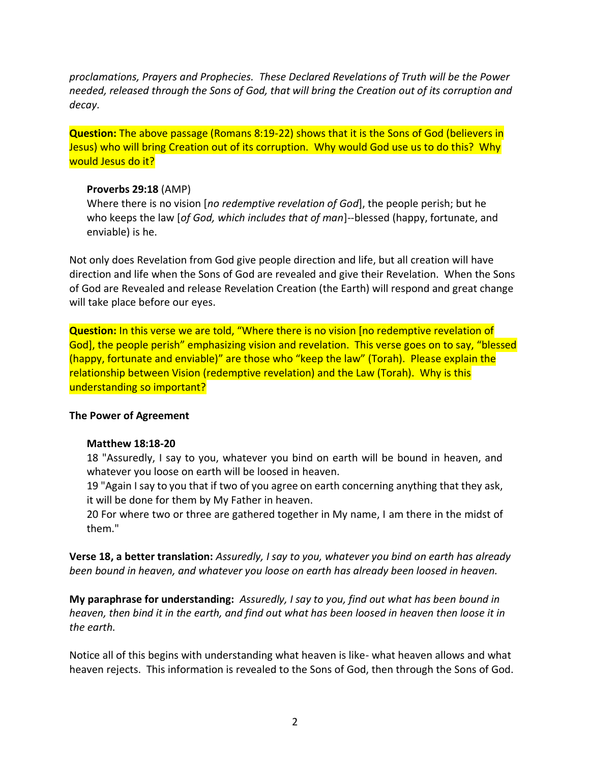*proclamations, Prayers and Prophecies. These Declared Revelations of Truth will be the Power needed, released through the Sons of God, that will bring the Creation out of its corruption and decay.*

**Question:** The above passage (Romans 8:19-22) shows that it is the Sons of God (believers in Jesus) who will bring Creation out of its corruption. Why would God use us to do this? Why would Jesus do it?

# **Proverbs 29:18** (AMP)

Where there is no vision [*no redemptive revelation of God*], the people perish; but he who keeps the law [*of God, which includes that of man*]--blessed (happy, fortunate, and enviable) is he.

Not only does Revelation from God give people direction and life, but all creation will have direction and life when the Sons of God are revealed and give their Revelation. When the Sons of God are Revealed and release Revelation Creation (the Earth) will respond and great change will take place before our eyes.

**Question:** In this verse we are told, "Where there is no vision [no redemptive revelation of God], the people perish" emphasizing vision and revelation. This verse goes on to say, "blessed (happy, fortunate and enviable)" are those who "keep the law" (Torah). Please explain the relationship between Vision (redemptive revelation) and the Law (Torah). Why is this understanding so important?

## **The Power of Agreement**

## **Matthew 18:18-20**

18 "Assuredly, I say to you, whatever you bind on earth will be bound in heaven, and whatever you loose on earth will be loosed in heaven.

19 "Again I say to you that if two of you agree on earth concerning anything that they ask, it will be done for them by My Father in heaven.

20 For where two or three are gathered together in My name, I am there in the midst of them."

**Verse 18, a better translation:** *Assuredly, I say to you, whatever you bind on earth has already been bound in heaven, and whatever you loose on earth has already been loosed in heaven.*

**My paraphrase for understanding:** *Assuredly, I say to you, find out what has been bound in heaven, then bind it in the earth, and find out what has been loosed in heaven then loose it in the earth.* 

Notice all of this begins with understanding what heaven is like- what heaven allows and what heaven rejects. This information is revealed to the Sons of God, then through the Sons of God.